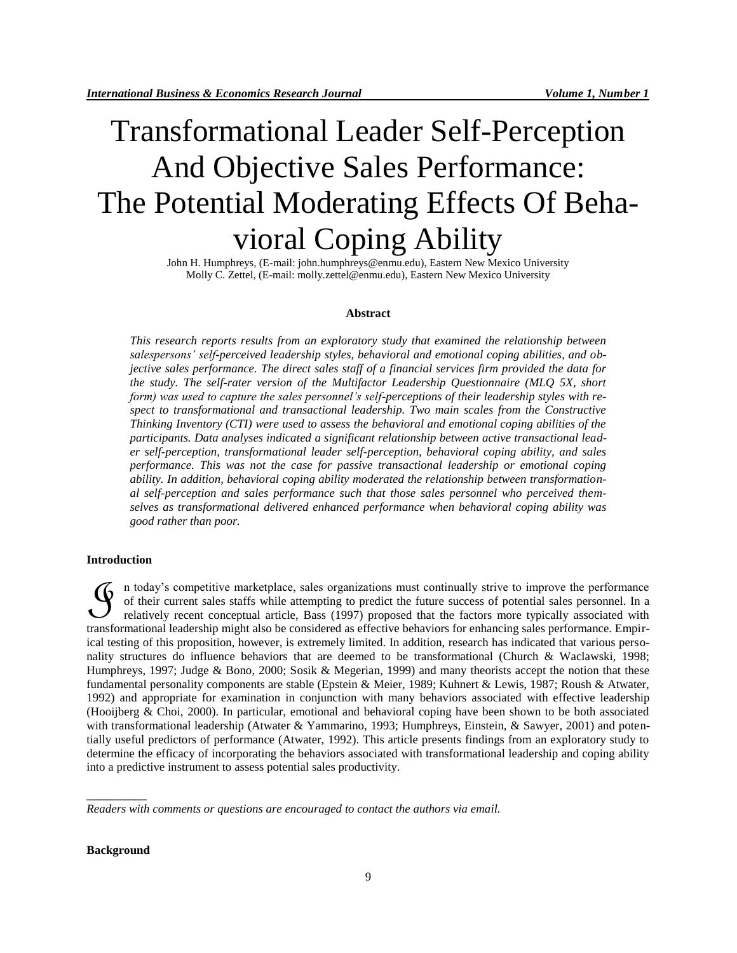# Transformational Leader Self-Perception And Objective Sales Performance: The Potential Moderating Effects Of Behavioral Coping Ability

John H. Humphreys, (E-mail: john.humphreys@enmu.edu), Eastern New Mexico University Molly C. Zettel, (E-mail: molly.zettel@enmu.edu), Eastern New Mexico University

# **Abstract**

*This research reports results from an exploratory study that examined the relationship between salespersons' self-perceived leadership styles, behavioral and emotional coping abilities, and objective sales performance. The direct sales staff of a financial services firm provided the data for the study. The self-rater version of the Multifactor Leadership Questionnaire (MLQ 5X, short form) was used to capture the sales personnel's self-perceptions of their leadership styles with respect to transformational and transactional leadership. Two main scales from the Constructive Thinking Inventory (CTI) were used to assess the behavioral and emotional coping abilities of the participants. Data analyses indicated a significant relationship between active transactional leader self-perception, transformational leader self-perception, behavioral coping ability, and sales performance. This was not the case for passive transactional leadership or emotional coping ability. In addition, behavioral coping ability moderated the relationship between transformational self-perception and sales performance such that those sales personnel who perceived themselves as transformational delivered enhanced performance when behavioral coping ability was good rather than poor.* 

#### **Introduction**

n today's competitive marketplace, sales organizations must continually strive to improve the performance of their current sales staffs while attempting to predict the future success of potential sales personnel. In a relatively recent conceptual article, Bass (1997) proposed that the factors more typically associated with If the might also text also separations must continually strive to improve the performance of their current sales staffs while attempting to predict the future success of potential sales personnel. In a relatively recent c ical testing of this proposition, however, is extremely limited. In addition, research has indicated that various personality structures do influence behaviors that are deemed to be transformational (Church & Waclawski, 1998; Humphreys, 1997; Judge & Bono, 2000; Sosik & Megerian, 1999) and many theorists accept the notion that these fundamental personality components are stable (Epstein & Meier, 1989; Kuhnert & Lewis, 1987; Roush & Atwater, 1992) and appropriate for examination in conjunction with many behaviors associated with effective leadership (Hooijberg & Choi, 2000). In particular, emotional and behavioral coping have been shown to be both associated with transformational leadership (Atwater & Yammarino, 1993; Humphreys, Einstein, & Sawyer, 2001) and potentially useful predictors of performance (Atwater, 1992). This article presents findings from an exploratory study to determine the efficacy of incorporating the behaviors associated with transformational leadership and coping ability into a predictive instrument to assess potential sales productivity.

*Readers with comments or questions are encouraged to contact the authors via email.*

#### **Background**

\_\_\_\_\_\_\_\_\_\_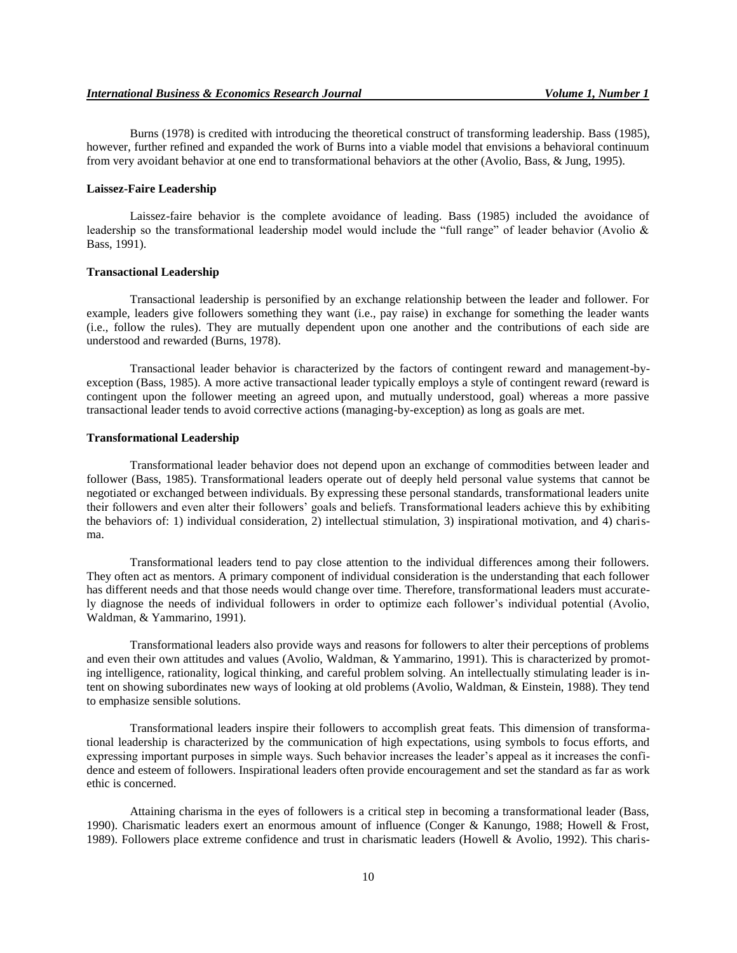Burns (1978) is credited with introducing the theoretical construct of transforming leadership. Bass (1985), however, further refined and expanded the work of Burns into a viable model that envisions a behavioral continuum from very avoidant behavior at one end to transformational behaviors at the other (Avolio, Bass, & Jung, 1995).

#### **Laissez-Faire Leadership**

Laissez-faire behavior is the complete avoidance of leading. Bass (1985) included the avoidance of leadership so the transformational leadership model would include the "full range" of leader behavior (Avolio & Bass, 1991).

#### **Transactional Leadership**

Transactional leadership is personified by an exchange relationship between the leader and follower. For example, leaders give followers something they want (i.e., pay raise) in exchange for something the leader wants (i.e., follow the rules). They are mutually dependent upon one another and the contributions of each side are understood and rewarded (Burns, 1978).

Transactional leader behavior is characterized by the factors of contingent reward and management-byexception (Bass, 1985). A more active transactional leader typically employs a style of contingent reward (reward is contingent upon the follower meeting an agreed upon, and mutually understood, goal) whereas a more passive transactional leader tends to avoid corrective actions (managing-by-exception) as long as goals are met.

### **Transformational Leadership**

Transformational leader behavior does not depend upon an exchange of commodities between leader and follower (Bass, 1985). Transformational leaders operate out of deeply held personal value systems that cannot be negotiated or exchanged between individuals. By expressing these personal standards, transformational leaders unite their followers and even alter their followers' goals and beliefs. Transformational leaders achieve this by exhibiting the behaviors of: 1) individual consideration, 2) intellectual stimulation, 3) inspirational motivation, and 4) charisma.

Transformational leaders tend to pay close attention to the individual differences among their followers. They often act as mentors. A primary component of individual consideration is the understanding that each follower has different needs and that those needs would change over time. Therefore, transformational leaders must accurately diagnose the needs of individual followers in order to optimize each follower's individual potential (Avolio, Waldman, & Yammarino, 1991).

Transformational leaders also provide ways and reasons for followers to alter their perceptions of problems and even their own attitudes and values (Avolio, Waldman, & Yammarino, 1991). This is characterized by promoting intelligence, rationality, logical thinking, and careful problem solving. An intellectually stimulating leader is intent on showing subordinates new ways of looking at old problems (Avolio, Waldman, & Einstein, 1988). They tend to emphasize sensible solutions.

Transformational leaders inspire their followers to accomplish great feats. This dimension of transformational leadership is characterized by the communication of high expectations, using symbols to focus efforts, and expressing important purposes in simple ways. Such behavior increases the leader's appeal as it increases the confidence and esteem of followers. Inspirational leaders often provide encouragement and set the standard as far as work ethic is concerned.

Attaining charisma in the eyes of followers is a critical step in becoming a transformational leader (Bass, 1990). Charismatic leaders exert an enormous amount of influence (Conger & Kanungo, 1988; Howell & Frost, 1989). Followers place extreme confidence and trust in charismatic leaders (Howell & Avolio, 1992). This charis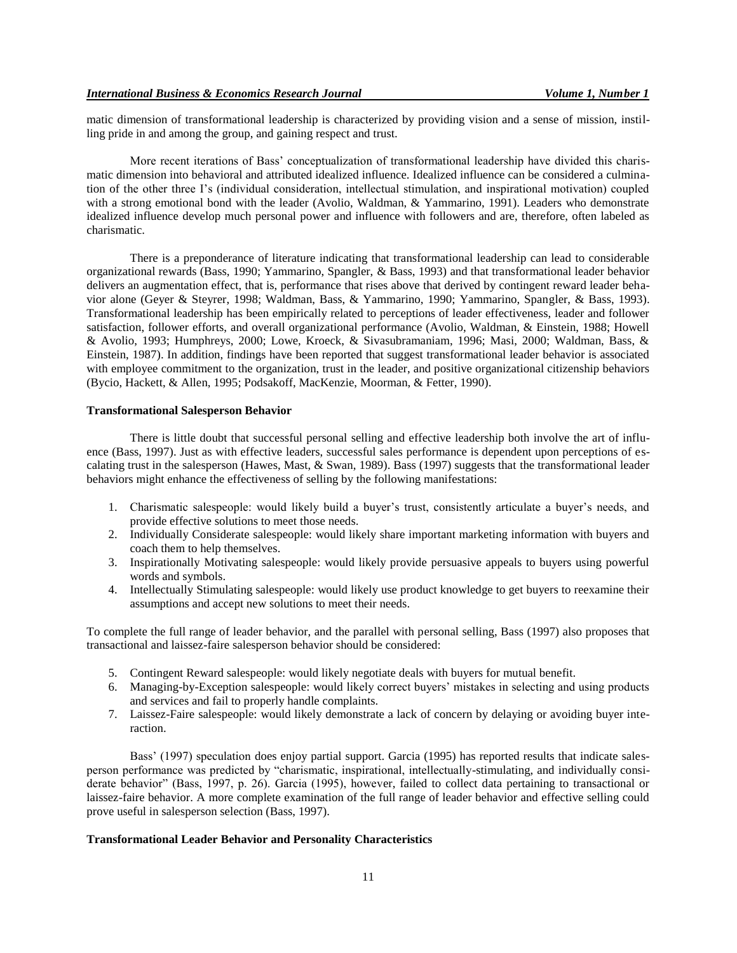matic dimension of transformational leadership is characterized by providing vision and a sense of mission, instilling pride in and among the group, and gaining respect and trust.

More recent iterations of Bass' conceptualization of transformational leadership have divided this charismatic dimension into behavioral and attributed idealized influence. Idealized influence can be considered a culmination of the other three I's (individual consideration, intellectual stimulation, and inspirational motivation) coupled with a strong emotional bond with the leader (Avolio, Waldman, & Yammarino, 1991). Leaders who demonstrate idealized influence develop much personal power and influence with followers and are, therefore, often labeled as charismatic.

There is a preponderance of literature indicating that transformational leadership can lead to considerable organizational rewards (Bass, 1990; Yammarino, Spangler, & Bass, 1993) and that transformational leader behavior delivers an augmentation effect, that is, performance that rises above that derived by contingent reward leader behavior alone (Geyer & Steyrer, 1998; Waldman, Bass, & Yammarino, 1990; Yammarino, Spangler, & Bass, 1993). Transformational leadership has been empirically related to perceptions of leader effectiveness, leader and follower satisfaction, follower efforts, and overall organizational performance (Avolio, Waldman, & Einstein, 1988; Howell & Avolio, 1993; Humphreys, 2000; Lowe, Kroeck, & Sivasubramaniam, 1996; Masi, 2000; Waldman, Bass, & Einstein, 1987). In addition, findings have been reported that suggest transformational leader behavior is associated with employee commitment to the organization, trust in the leader, and positive organizational citizenship behaviors (Bycio, Hackett, & Allen, 1995; Podsakoff, MacKenzie, Moorman, & Fetter, 1990).

# **Transformational Salesperson Behavior**

There is little doubt that successful personal selling and effective leadership both involve the art of influence (Bass, 1997). Just as with effective leaders, successful sales performance is dependent upon perceptions of escalating trust in the salesperson (Hawes, Mast, & Swan, 1989). Bass (1997) suggests that the transformational leader behaviors might enhance the effectiveness of selling by the following manifestations:

- 1. Charismatic salespeople: would likely build a buyer's trust, consistently articulate a buyer's needs, and provide effective solutions to meet those needs.
- 2. Individually Considerate salespeople: would likely share important marketing information with buyers and coach them to help themselves.
- 3. Inspirationally Motivating salespeople: would likely provide persuasive appeals to buyers using powerful words and symbols.
- 4. Intellectually Stimulating salespeople: would likely use product knowledge to get buyers to reexamine their assumptions and accept new solutions to meet their needs.

To complete the full range of leader behavior, and the parallel with personal selling, Bass (1997) also proposes that transactional and laissez-faire salesperson behavior should be considered:

- 5. Contingent Reward salespeople: would likely negotiate deals with buyers for mutual benefit.
- 6. Managing-by-Exception salespeople: would likely correct buyers' mistakes in selecting and using products and services and fail to properly handle complaints.
- 7. Laissez-Faire salespeople: would likely demonstrate a lack of concern by delaying or avoiding buyer interaction.

Bass' (1997) speculation does enjoy partial support. Garcia (1995) has reported results that indicate salesperson performance was predicted by "charismatic, inspirational, intellectually-stimulating, and individually considerate behavior" (Bass, 1997, p. 26). Garcia (1995), however, failed to collect data pertaining to transactional or laissez-faire behavior. A more complete examination of the full range of leader behavior and effective selling could prove useful in salesperson selection (Bass, 1997).

# **Transformational Leader Behavior and Personality Characteristics**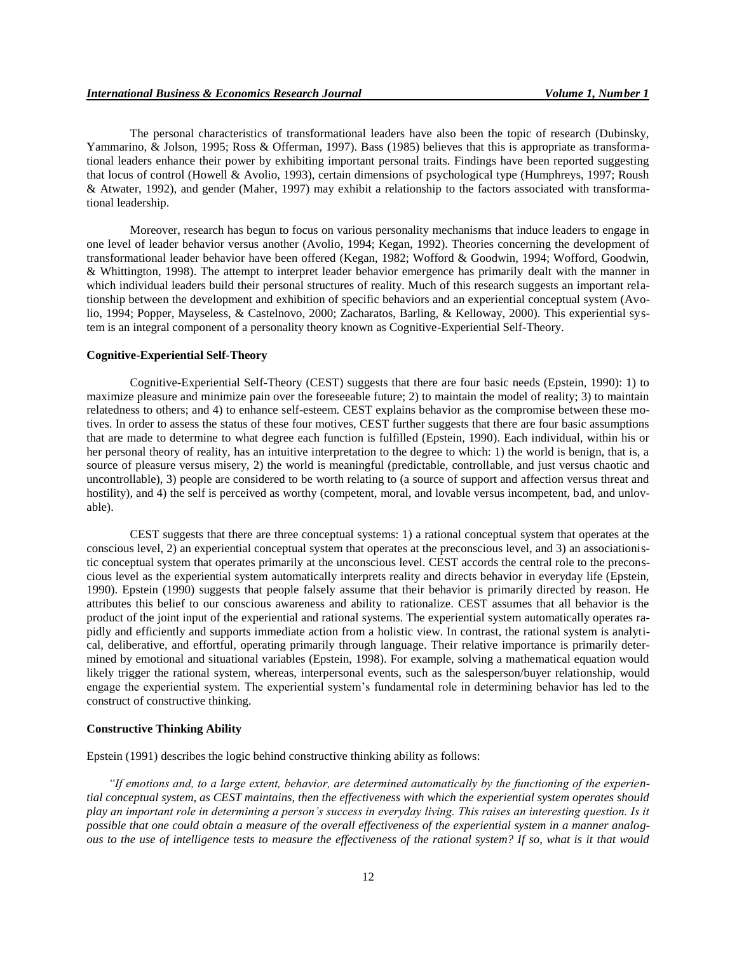The personal characteristics of transformational leaders have also been the topic of research (Dubinsky, Yammarino, & Jolson, 1995; Ross & Offerman, 1997). Bass (1985) believes that this is appropriate as transformational leaders enhance their power by exhibiting important personal traits. Findings have been reported suggesting that locus of control (Howell & Avolio, 1993), certain dimensions of psychological type (Humphreys, 1997; Roush & Atwater, 1992), and gender (Maher, 1997) may exhibit a relationship to the factors associated with transformational leadership.

Moreover, research has begun to focus on various personality mechanisms that induce leaders to engage in one level of leader behavior versus another (Avolio, 1994; Kegan, 1992). Theories concerning the development of transformational leader behavior have been offered (Kegan, 1982; Wofford & Goodwin, 1994; Wofford, Goodwin, & Whittington, 1998). The attempt to interpret leader behavior emergence has primarily dealt with the manner in which individual leaders build their personal structures of reality. Much of this research suggests an important relationship between the development and exhibition of specific behaviors and an experiential conceptual system (Avolio, 1994; Popper, Mayseless, & Castelnovo, 2000; Zacharatos, Barling, & Kelloway, 2000). This experiential system is an integral component of a personality theory known as Cognitive-Experiential Self-Theory.

### **Cognitive-Experiential Self-Theory**

Cognitive-Experiential Self-Theory (CEST) suggests that there are four basic needs (Epstein, 1990): 1) to maximize pleasure and minimize pain over the foreseeable future; 2) to maintain the model of reality; 3) to maintain relatedness to others; and 4) to enhance self-esteem. CEST explains behavior as the compromise between these motives. In order to assess the status of these four motives, CEST further suggests that there are four basic assumptions that are made to determine to what degree each function is fulfilled (Epstein, 1990). Each individual, within his or her personal theory of reality, has an intuitive interpretation to the degree to which: 1) the world is benign, that is, a source of pleasure versus misery, 2) the world is meaningful (predictable, controllable, and just versus chaotic and uncontrollable), 3) people are considered to be worth relating to (a source of support and affection versus threat and hostility), and 4) the self is perceived as worthy (competent, moral, and lovable versus incompetent, bad, and unlovable).

CEST suggests that there are three conceptual systems: 1) a rational conceptual system that operates at the conscious level, 2) an experiential conceptual system that operates at the preconscious level, and 3) an associationistic conceptual system that operates primarily at the unconscious level. CEST accords the central role to the preconscious level as the experiential system automatically interprets reality and directs behavior in everyday life (Epstein, 1990). Epstein (1990) suggests that people falsely assume that their behavior is primarily directed by reason. He attributes this belief to our conscious awareness and ability to rationalize. CEST assumes that all behavior is the product of the joint input of the experiential and rational systems. The experiential system automatically operates rapidly and efficiently and supports immediate action from a holistic view. In contrast, the rational system is analytical, deliberative, and effortful, operating primarily through language. Their relative importance is primarily determined by emotional and situational variables (Epstein, 1998). For example, solving a mathematical equation would likely trigger the rational system, whereas, interpersonal events, such as the salesperson/buyer relationship, would engage the experiential system. The experiential system's fundamental role in determining behavior has led to the construct of constructive thinking.

#### **Constructive Thinking Ability**

Epstein (1991) describes the logic behind constructive thinking ability as follows:

*"If emotions and, to a large extent, behavior, are determined automatically by the functioning of the experiential conceptual system, as CEST maintains, then the effectiveness with which the experiential system operates should play an important role in determining a person's success in everyday living. This raises an interesting question. Is it possible that one could obtain a measure of the overall effectiveness of the experiential system in a manner analogous to the use of intelligence tests to measure the effectiveness of the rational system? If so, what is it that would*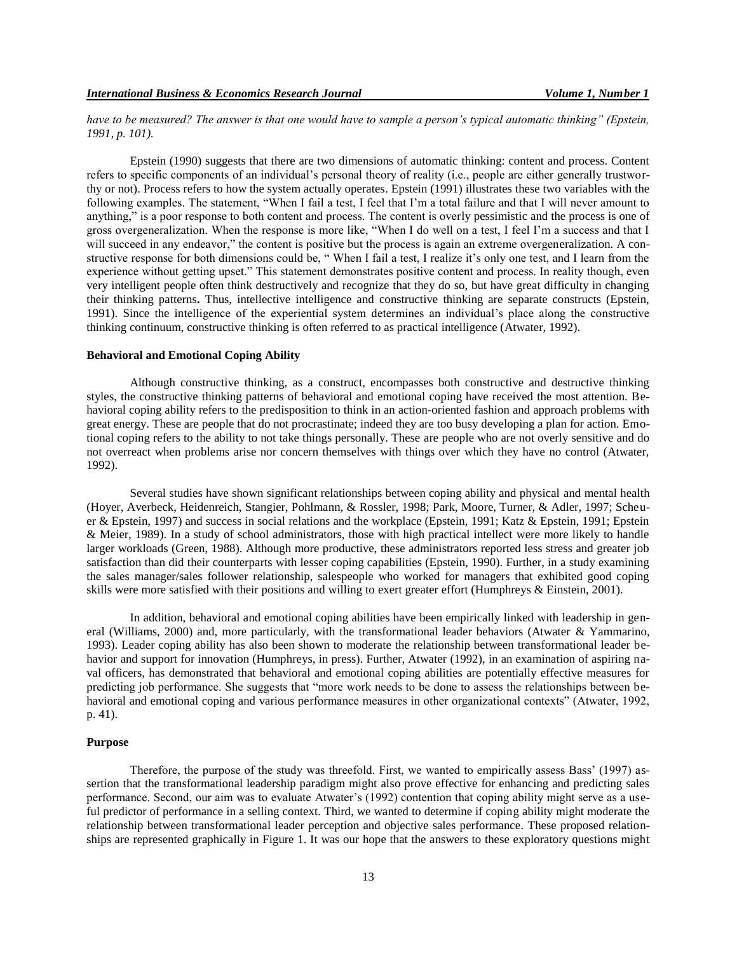*have to be measured? The answer is that one would have to sample a person's typical automatic thinking" (Epstein, 1991, p. 101).*

Epstein (1990) suggests that there are two dimensions of automatic thinking: content and process. Content refers to specific components of an individual's personal theory of reality (i.e., people are either generally trustworthy or not). Process refers to how the system actually operates. Epstein (1991) illustrates these two variables with the following examples. The statement, "When I fail a test, I feel that I'm a total failure and that I will never amount to anything," is a poor response to both content and process. The content is overly pessimistic and the process is one of gross overgeneralization. When the response is more like, "When I do well on a test, I feel I'm a success and that I will succeed in any endeavor," the content is positive but the process is again an extreme overgeneralization. A constructive response for both dimensions could be, " When I fail a test, I realize it's only one test, and I learn from the experience without getting upset." This statement demonstrates positive content and process. In reality though, even very intelligent people often think destructively and recognize that they do so, but have great difficulty in changing their thinking patterns**.** Thus, intellective intelligence and constructive thinking are separate constructs (Epstein, 1991). Since the intelligence of the experiential system determines an individual's place along the constructive thinking continuum, constructive thinking is often referred to as practical intelligence (Atwater, 1992).

#### **Behavioral and Emotional Coping Ability**

Although constructive thinking, as a construct, encompasses both constructive and destructive thinking styles, the constructive thinking patterns of behavioral and emotional coping have received the most attention. Behavioral coping ability refers to the predisposition to think in an action-oriented fashion and approach problems with great energy. These are people that do not procrastinate; indeed they are too busy developing a plan for action. Emotional coping refers to the ability to not take things personally. These are people who are not overly sensitive and do not overreact when problems arise nor concern themselves with things over which they have no control (Atwater, 1992).

Several studies have shown significant relationships between coping ability and physical and mental health (Hoyer, Averbeck, Heidenreich, Stangier, Pohlmann, & Rossler, 1998; Park, Moore, Turner, & Adler, 1997; Scheuer & Epstein, 1997) and success in social relations and the workplace (Epstein, 1991; Katz & Epstein, 1991; Epstein & Meier, 1989). In a study of school administrators, those with high practical intellect were more likely to handle larger workloads (Green, 1988). Although more productive, these administrators reported less stress and greater job satisfaction than did their counterparts with lesser coping capabilities (Epstein, 1990). Further, in a study examining the sales manager/sales follower relationship, salespeople who worked for managers that exhibited good coping skills were more satisfied with their positions and willing to exert greater effort (Humphreys & Einstein, 2001).

In addition, behavioral and emotional coping abilities have been empirically linked with leadership in general (Williams, 2000) and, more particularly, with the transformational leader behaviors (Atwater & Yammarino, 1993). Leader coping ability has also been shown to moderate the relationship between transformational leader behavior and support for innovation (Humphreys, in press). Further, Atwater (1992), in an examination of aspiring naval officers, has demonstrated that behavioral and emotional coping abilities are potentially effective measures for predicting job performance. She suggests that "more work needs to be done to assess the relationships between behavioral and emotional coping and various performance measures in other organizational contexts" (Atwater, 1992, p. 41).

#### **Purpose**

Therefore, the purpose of the study was threefold. First, we wanted to empirically assess Bass' (1997) assertion that the transformational leadership paradigm might also prove effective for enhancing and predicting sales performance. Second, our aim was to evaluate Atwater's (1992) contention that coping ability might serve as a useful predictor of performance in a selling context. Third, we wanted to determine if coping ability might moderate the relationship between transformational leader perception and objective sales performance. These proposed relationships are represented graphically in Figure 1. It was our hope that the answers to these exploratory questions might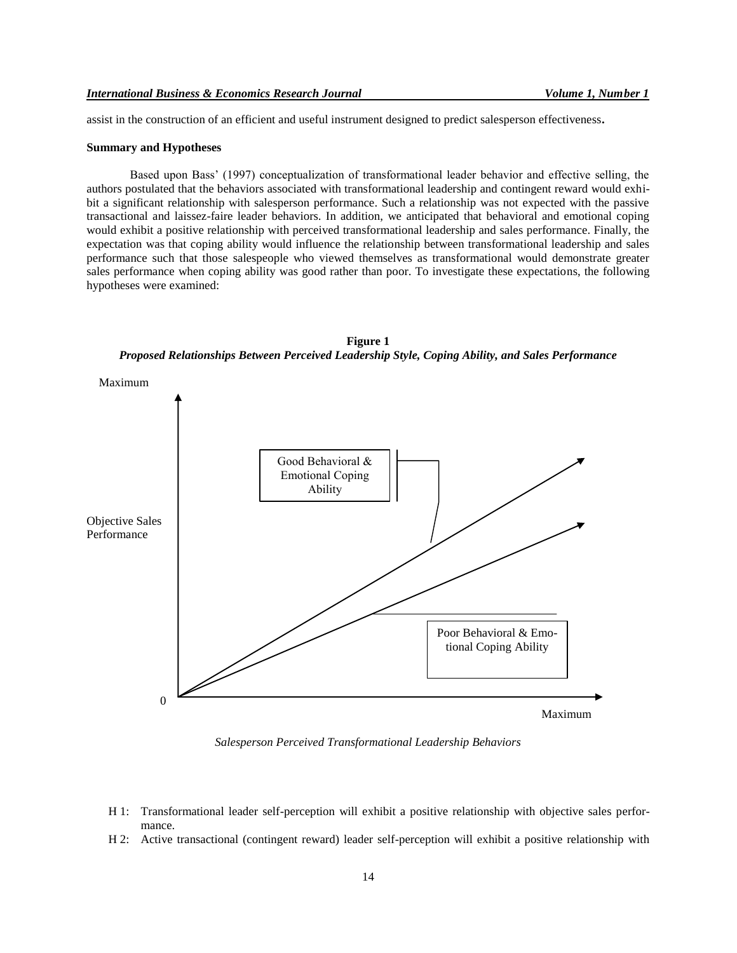assist in the construction of an efficient and useful instrument designed to predict salesperson effectiveness**.**

#### **Summary and Hypotheses**

Based upon Bass' (1997) conceptualization of transformational leader behavior and effective selling, the authors postulated that the behaviors associated with transformational leadership and contingent reward would exhibit a significant relationship with salesperson performance. Such a relationship was not expected with the passive transactional and laissez-faire leader behaviors. In addition, we anticipated that behavioral and emotional coping would exhibit a positive relationship with perceived transformational leadership and sales performance. Finally, the expectation was that coping ability would influence the relationship between transformational leadership and sales performance such that those salespeople who viewed themselves as transformational would demonstrate greater sales performance when coping ability was good rather than poor. To investigate these expectations, the following hypotheses were examined:





*Salesperson Perceived Transformational Leadership Behaviors*

- H 1: Transformational leader self-perception will exhibit a positive relationship with objective sales performance.
- H 2: Active transactional (contingent reward) leader self-perception will exhibit a positive relationship with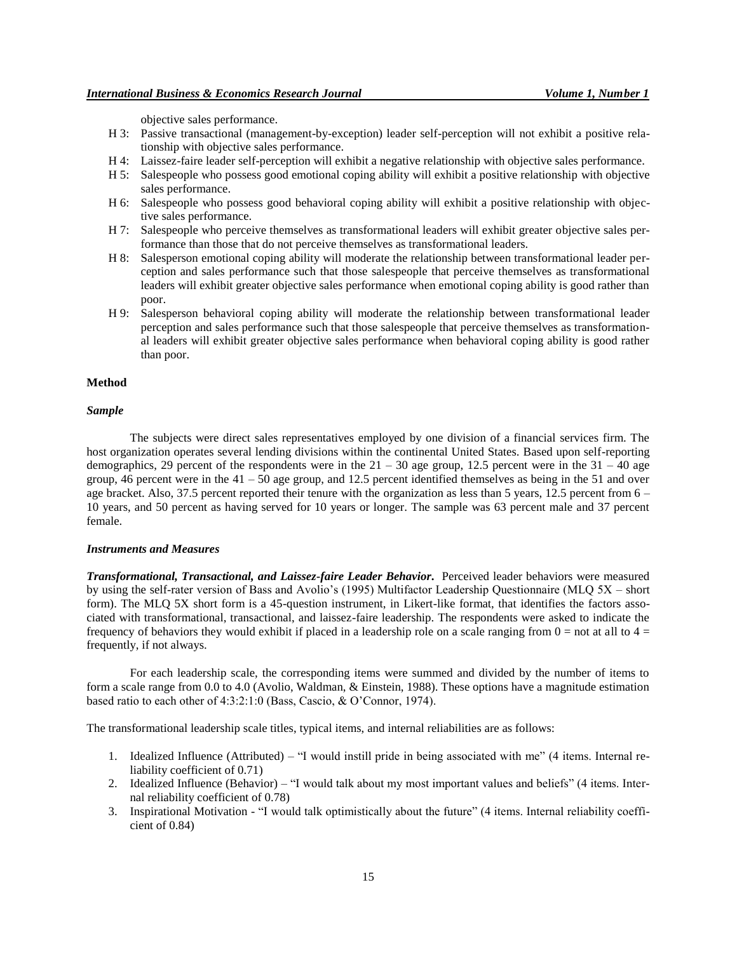objective sales performance.

- H 3: Passive transactional (management-by-exception) leader self-perception will not exhibit a positive relationship with objective sales performance.
- H 4: Laissez-faire leader self-perception will exhibit a negative relationship with objective sales performance.
- H 5: Salespeople who possess good emotional coping ability will exhibit a positive relationship with objective sales performance.
- H 6: Salespeople who possess good behavioral coping ability will exhibit a positive relationship with objective sales performance.
- H 7: Salespeople who perceive themselves as transformational leaders will exhibit greater objective sales performance than those that do not perceive themselves as transformational leaders.
- H 8: Salesperson emotional coping ability will moderate the relationship between transformational leader perception and sales performance such that those salespeople that perceive themselves as transformational leaders will exhibit greater objective sales performance when emotional coping ability is good rather than poor.
- H 9: Salesperson behavioral coping ability will moderate the relationship between transformational leader perception and sales performance such that those salespeople that perceive themselves as transformational leaders will exhibit greater objective sales performance when behavioral coping ability is good rather than poor.

#### **Method**

# *Sample*

The subjects were direct sales representatives employed by one division of a financial services firm. The host organization operates several lending divisions within the continental United States. Based upon self-reporting demographics, 29 percent of the respondents were in the  $21 - 30$  age group, 12.5 percent were in the  $31 - 40$  age group, 46 percent were in the  $41 - 50$  age group, and 12.5 percent identified themselves as being in the 51 and over age bracket. Also, 37.5 percent reported their tenure with the organization as less than 5 years, 12.5 percent from 6 – 10 years, and 50 percent as having served for 10 years or longer. The sample was 63 percent male and 37 percent female.

#### *Instruments and Measures*

*Transformational, Transactional, and Laissez-faire Leader Behavior***.** Perceived leader behaviors were measured by using the self-rater version of Bass and Avolio's (1995) Multifactor Leadership Questionnaire (MLQ 5X – short form). The MLQ 5X short form is a 45-question instrument, in Likert-like format, that identifies the factors associated with transformational, transactional, and laissez-faire leadership. The respondents were asked to indicate the frequency of behaviors they would exhibit if placed in a leadership role on a scale ranging from  $0 =$  not at all to  $4 =$ frequently, if not always.

For each leadership scale, the corresponding items were summed and divided by the number of items to form a scale range from 0.0 to 4.0 (Avolio, Waldman, & Einstein, 1988). These options have a magnitude estimation based ratio to each other of 4:3:2:1:0 (Bass, Cascio, & O'Connor, 1974).

The transformational leadership scale titles, typical items, and internal reliabilities are as follows:

- 1. Idealized Influence (Attributed) "I would instill pride in being associated with me" (4 items. Internal reliability coefficient of 0.71)
- 2. Idealized Influence (Behavior) "I would talk about my most important values and beliefs" (4 items. Internal reliability coefficient of 0.78)
- 3. Inspirational Motivation "I would talk optimistically about the future" (4 items. Internal reliability coefficient of 0.84)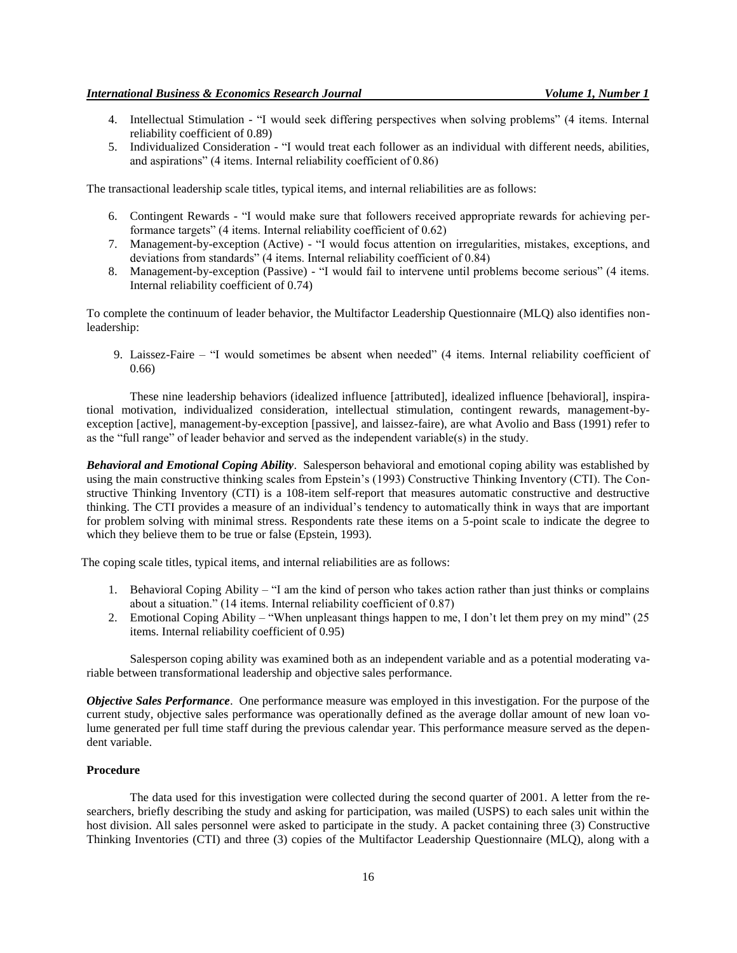- 4. Intellectual Stimulation "I would seek differing perspectives when solving problems" (4 items. Internal reliability coefficient of 0.89)
- 5. Individualized Consideration "I would treat each follower as an individual with different needs, abilities, and aspirations" (4 items. Internal reliability coefficient of 0.86)

The transactional leadership scale titles, typical items, and internal reliabilities are as follows:

- 6. Contingent Rewards "I would make sure that followers received appropriate rewards for achieving performance targets" (4 items. Internal reliability coefficient of 0.62)
- 7. Management-by-exception (Active) "I would focus attention on irregularities, mistakes, exceptions, and deviations from standards" (4 items. Internal reliability coefficient of 0.84)
- 8. Management-by-exception (Passive) "I would fail to intervene until problems become serious" (4 items. Internal reliability coefficient of 0.74)

To complete the continuum of leader behavior, the Multifactor Leadership Questionnaire (MLQ) also identifies nonleadership:

9. Laissez-Faire – "I would sometimes be absent when needed" (4 items. Internal reliability coefficient of 0.66)

These nine leadership behaviors (idealized influence [attributed], idealized influence [behavioral], inspirational motivation, individualized consideration, intellectual stimulation, contingent rewards, management-byexception [active], management-by-exception [passive], and laissez-faire), are what Avolio and Bass (1991) refer to as the "full range" of leader behavior and served as the independent variable(s) in the study.

*Behavioral and Emotional Coping Ability*. Salesperson behavioral and emotional coping ability was established by using the main constructive thinking scales from Epstein's (1993) Constructive Thinking Inventory (CTI). The Constructive Thinking Inventory (CTI) is a 108-item self-report that measures automatic constructive and destructive thinking. The CTI provides a measure of an individual's tendency to automatically think in ways that are important for problem solving with minimal stress. Respondents rate these items on a 5-point scale to indicate the degree to which they believe them to be true or false (Epstein, 1993).

The coping scale titles, typical items, and internal reliabilities are as follows:

- 1. Behavioral Coping Ability "I am the kind of person who takes action rather than just thinks or complains about a situation." (14 items. Internal reliability coefficient of 0.87)
- 2. Emotional Coping Ability "When unpleasant things happen to me, I don't let them prey on my mind" (25 items. Internal reliability coefficient of 0.95)

Salesperson coping ability was examined both as an independent variable and as a potential moderating variable between transformational leadership and objective sales performance.

*Objective Sales Performance*. One performance measure was employed in this investigation. For the purpose of the current study, objective sales performance was operationally defined as the average dollar amount of new loan volume generated per full time staff during the previous calendar year. This performance measure served as the dependent variable.

# **Procedure**

The data used for this investigation were collected during the second quarter of 2001. A letter from the researchers, briefly describing the study and asking for participation, was mailed (USPS) to each sales unit within the host division. All sales personnel were asked to participate in the study. A packet containing three (3) Constructive Thinking Inventories (CTI) and three (3) copies of the Multifactor Leadership Questionnaire (MLQ), along with a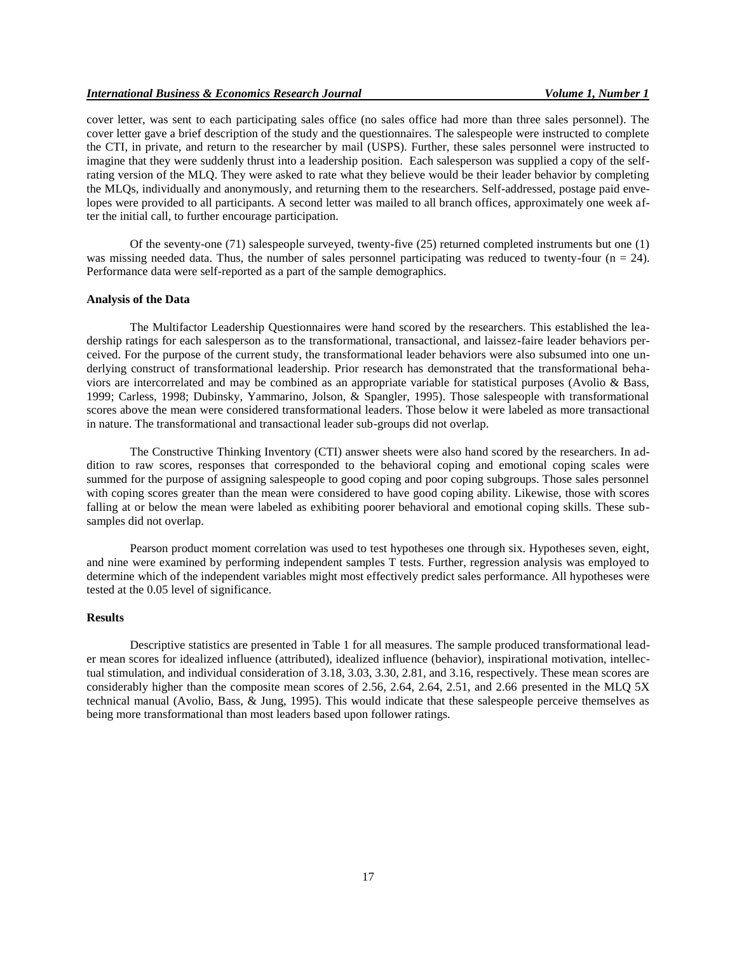cover letter, was sent to each participating sales office (no sales office had more than three sales personnel). The cover letter gave a brief description of the study and the questionnaires. The salespeople were instructed to complete the CTI, in private, and return to the researcher by mail (USPS). Further, these sales personnel were instructed to imagine that they were suddenly thrust into a leadership position. Each salesperson was supplied a copy of the selfrating version of the MLQ. They were asked to rate what they believe would be their leader behavior by completing the MLQs, individually and anonymously, and returning them to the researchers. Self-addressed, postage paid envelopes were provided to all participants. A second letter was mailed to all branch offices, approximately one week after the initial call, to further encourage participation.

Of the seventy-one (71) salespeople surveyed, twenty-five (25) returned completed instruments but one (1) was missing needed data. Thus, the number of sales personnel participating was reduced to twenty-four  $(n = 24)$ . Performance data were self-reported as a part of the sample demographics.

#### **Analysis of the Data**

The Multifactor Leadership Questionnaires were hand scored by the researchers. This established the leadership ratings for each salesperson as to the transformational, transactional, and laissez-faire leader behaviors perceived. For the purpose of the current study, the transformational leader behaviors were also subsumed into one underlying construct of transformational leadership. Prior research has demonstrated that the transformational behaviors are intercorrelated and may be combined as an appropriate variable for statistical purposes (Avolio & Bass, 1999; Carless, 1998; Dubinsky, Yammarino, Jolson, & Spangler, 1995). Those salespeople with transformational scores above the mean were considered transformational leaders. Those below it were labeled as more transactional in nature. The transformational and transactional leader sub-groups did not overlap.

The Constructive Thinking Inventory (CTI) answer sheets were also hand scored by the researchers. In addition to raw scores, responses that corresponded to the behavioral coping and emotional coping scales were summed for the purpose of assigning salespeople to good coping and poor coping subgroups. Those sales personnel with coping scores greater than the mean were considered to have good coping ability. Likewise, those with scores falling at or below the mean were labeled as exhibiting poorer behavioral and emotional coping skills. These subsamples did not overlap.

Pearson product moment correlation was used to test hypotheses one through six. Hypotheses seven, eight, and nine were examined by performing independent samples T tests. Further, regression analysis was employed to determine which of the independent variables might most effectively predict sales performance. All hypotheses were tested at the 0.05 level of significance.

# **Results**

Descriptive statistics are presented in Table 1 for all measures. The sample produced transformational leader mean scores for idealized influence (attributed), idealized influence (behavior), inspirational motivation, intellectual stimulation, and individual consideration of 3.18, 3.03, 3.30, 2.81, and 3.16, respectively. These mean scores are considerably higher than the composite mean scores of 2.56, 2.64, 2.64, 2.51, and 2.66 presented in the MLQ 5X technical manual (Avolio, Bass, & Jung, 1995). This would indicate that these salespeople perceive themselves as being more transformational than most leaders based upon follower ratings.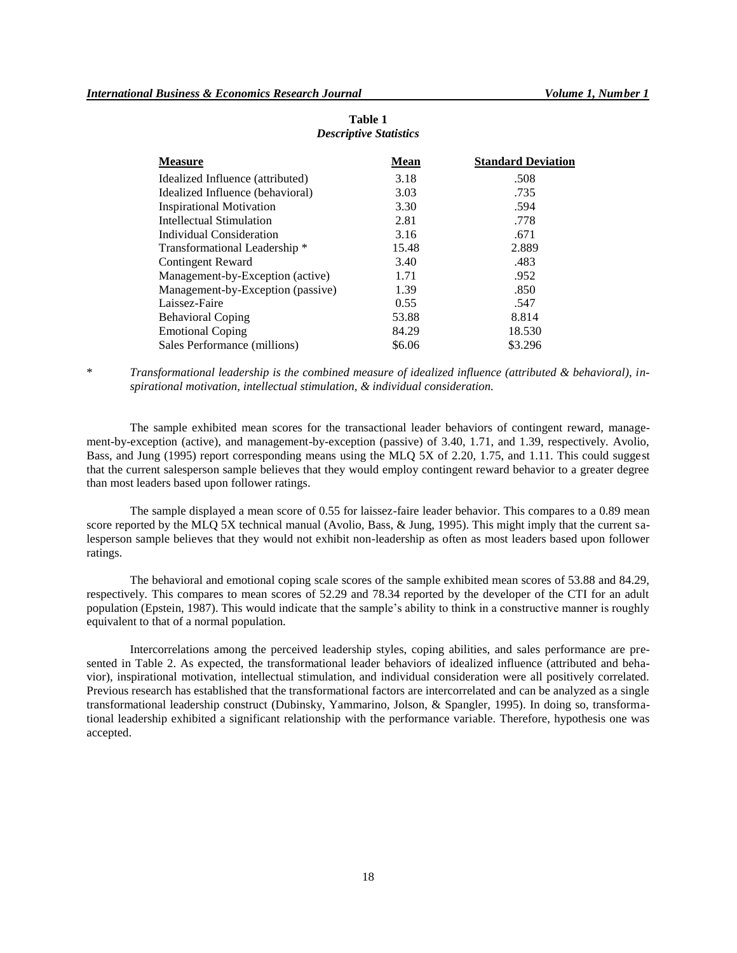| <b>Measure</b>                    | <b>Mean</b> | <b>Standard Deviation</b> |
|-----------------------------------|-------------|---------------------------|
| Idealized Influence (attributed)  | 3.18        | .508                      |
| Idealized Influence (behavioral)  | 3.03        | .735                      |
| <b>Inspirational Motivation</b>   | 3.30        | .594                      |
| Intellectual Stimulation          | 2.81        | .778                      |
| Individual Consideration          | 3.16        | .671                      |
| Transformational Leadership *     | 15.48       | 2.889                     |
| <b>Contingent Reward</b>          | 3.40        | .483                      |
| Management-by-Exception (active)  | 1.71        | .952                      |
| Management-by-Exception (passive) | 1.39        | .850                      |
| Laissez-Faire                     | 0.55        | .547                      |
| <b>Behavioral Coping</b>          | 53.88       | 8.814                     |
| <b>Emotional Coping</b>           | 84.29       | 18.530                    |
| Sales Performance (millions)      | \$6.06      | \$3.296                   |

# **Table 1** *Descriptive Statistics*

\* *Transformational leadership is the combined measure of idealized influence (attributed & behavioral), inspirational motivation, intellectual stimulation, & individual consideration.*

The sample exhibited mean scores for the transactional leader behaviors of contingent reward, management-by-exception (active), and management-by-exception (passive) of 3.40, 1.71, and 1.39, respectively. Avolio, Bass, and Jung (1995) report corresponding means using the MLQ 5X of 2.20, 1.75, and 1.11. This could suggest that the current salesperson sample believes that they would employ contingent reward behavior to a greater degree than most leaders based upon follower ratings.

The sample displayed a mean score of 0.55 for laissez-faire leader behavior. This compares to a 0.89 mean score reported by the MLQ 5X technical manual (Avolio, Bass, & Jung, 1995). This might imply that the current salesperson sample believes that they would not exhibit non-leadership as often as most leaders based upon follower ratings.

The behavioral and emotional coping scale scores of the sample exhibited mean scores of 53.88 and 84.29, respectively. This compares to mean scores of 52.29 and 78.34 reported by the developer of the CTI for an adult population (Epstein, 1987). This would indicate that the sample's ability to think in a constructive manner is roughly equivalent to that of a normal population.

Intercorrelations among the perceived leadership styles, coping abilities, and sales performance are presented in Table 2. As expected, the transformational leader behaviors of idealized influence (attributed and behavior), inspirational motivation, intellectual stimulation, and individual consideration were all positively correlated. Previous research has established that the transformational factors are intercorrelated and can be analyzed as a single transformational leadership construct (Dubinsky, Yammarino, Jolson, & Spangler, 1995). In doing so, transformational leadership exhibited a significant relationship with the performance variable. Therefore, hypothesis one was accepted.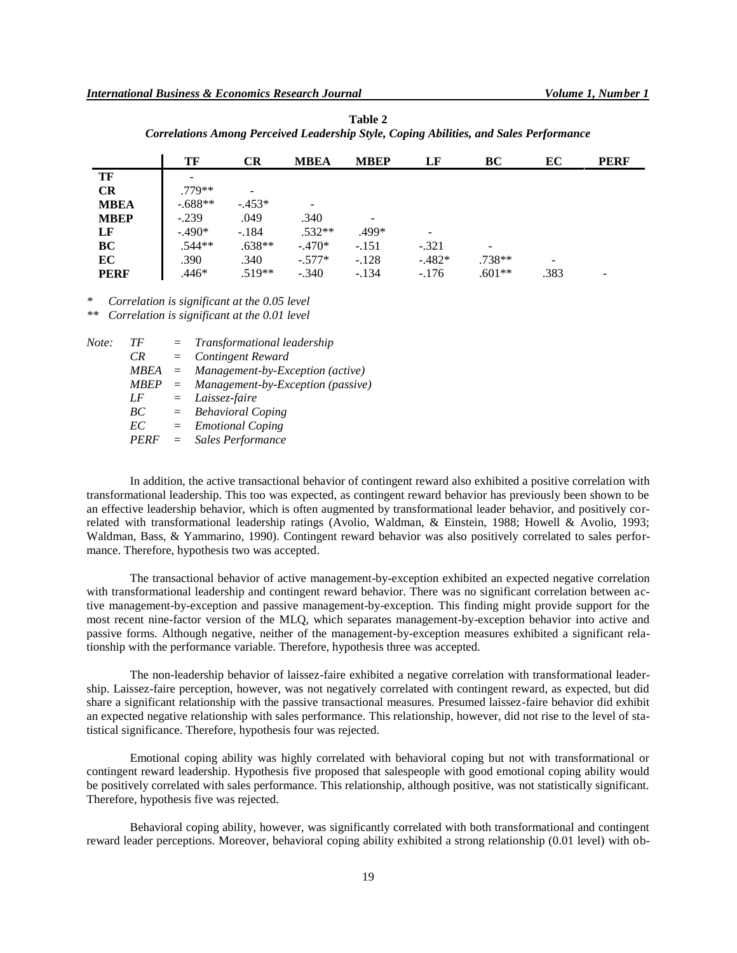|             | TF        | <b>CR</b> | <b>MBEA</b> | <b>MBEP</b>              | LF      | BC       | EC                       | <b>PERF</b> |
|-------------|-----------|-----------|-------------|--------------------------|---------|----------|--------------------------|-------------|
| TF          |           |           |             |                          |         |          |                          |             |
| CR          | $.779**$  |           |             |                          |         |          |                          |             |
| <b>MBEA</b> | $-.688**$ | $-453*$   |             |                          |         |          |                          |             |
| <b>MBEP</b> | $-.239$   | .049      | .340        | $\overline{\phantom{a}}$ |         |          |                          |             |
| LF          | $-.490*$  | $-.184$   | $.532**$    | .499*                    |         |          |                          |             |
| BC          | $.544**$  | $.638**$  | $-.470*$    | $-.151$                  | $-.321$ | -        |                          |             |
| EC          | .390      | .340      | $-.577*$    | $-.128$                  | $-482*$ | $.738**$ | $\overline{\phantom{0}}$ |             |
| <b>PERF</b> | .446*     | $.519**$  | $-.340$     | $-.134$                  | $-.176$ | $.601**$ | .383                     |             |

**Table 2** *Correlations Among Perceived Leadership Style, Coping Abilities, and Sales Performance*

*\* Correlation is significant at the 0.05 level*

*\*\* Correlation is significant at the 0.01 level*

| Note: | TF | $=$ | Transformational leadership                |
|-------|----|-----|--------------------------------------------|
|       | CR |     | $=$ Contingent Reward                      |
|       |    |     | $MBEA$ = Management-by-Exception (active)  |
|       |    |     | $MBEP = Management-by-Exception (passive)$ |
|       | LF |     | $=$ Laissez-faire                          |
|       | BC |     | $=$ Behavioral Coping                      |
|       | EC |     | $=$ Emotional Coping                       |
|       |    |     | PERF = Sales Performance                   |
|       |    |     |                                            |

In addition, the active transactional behavior of contingent reward also exhibited a positive correlation with transformational leadership. This too was expected, as contingent reward behavior has previously been shown to be an effective leadership behavior, which is often augmented by transformational leader behavior, and positively correlated with transformational leadership ratings (Avolio, Waldman, & Einstein, 1988; Howell & Avolio, 1993; Waldman, Bass, & Yammarino, 1990). Contingent reward behavior was also positively correlated to sales performance. Therefore, hypothesis two was accepted.

The transactional behavior of active management-by-exception exhibited an expected negative correlation with transformational leadership and contingent reward behavior. There was no significant correlation between active management-by-exception and passive management-by-exception. This finding might provide support for the most recent nine-factor version of the MLQ, which separates management-by-exception behavior into active and passive forms. Although negative, neither of the management-by-exception measures exhibited a significant relationship with the performance variable. Therefore, hypothesis three was accepted.

The non-leadership behavior of laissez-faire exhibited a negative correlation with transformational leadership. Laissez-faire perception, however, was not negatively correlated with contingent reward, as expected, but did share a significant relationship with the passive transactional measures. Presumed laissez-faire behavior did exhibit an expected negative relationship with sales performance. This relationship, however, did not rise to the level of statistical significance. Therefore, hypothesis four was rejected.

Emotional coping ability was highly correlated with behavioral coping but not with transformational or contingent reward leadership. Hypothesis five proposed that salespeople with good emotional coping ability would be positively correlated with sales performance. This relationship, although positive, was not statistically significant. Therefore, hypothesis five was rejected.

Behavioral coping ability, however, was significantly correlated with both transformational and contingent reward leader perceptions. Moreover, behavioral coping ability exhibited a strong relationship (0.01 level) with ob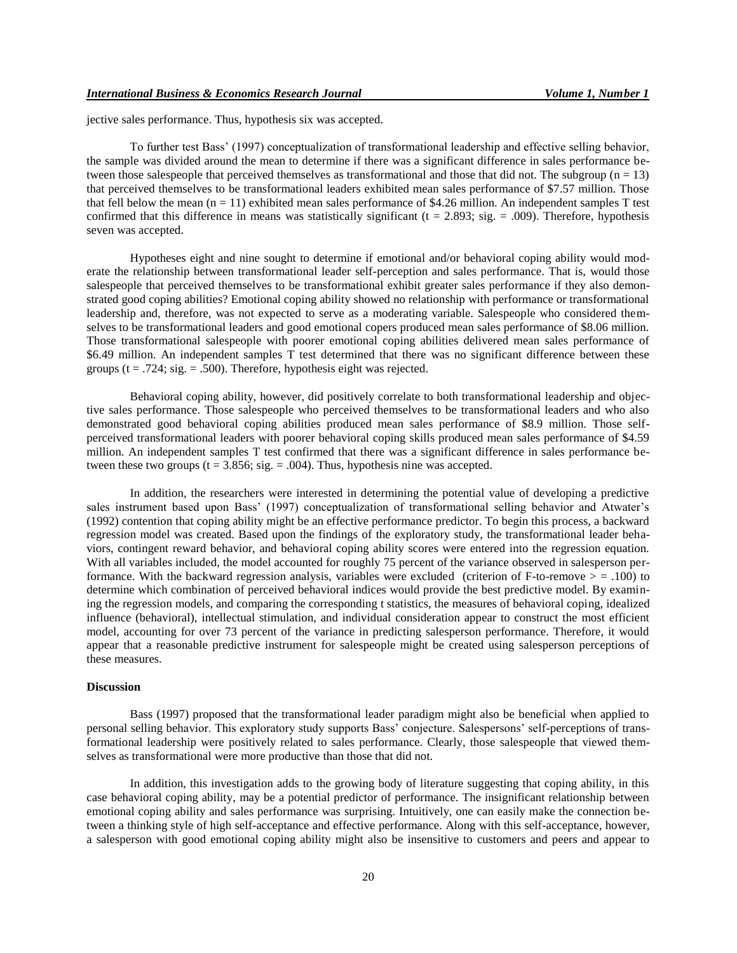jective sales performance. Thus, hypothesis six was accepted.

To further test Bass' (1997) conceptualization of transformational leadership and effective selling behavior, the sample was divided around the mean to determine if there was a significant difference in sales performance between those salespeople that perceived themselves as transformational and those that did not. The subgroup  $(n = 13)$ that perceived themselves to be transformational leaders exhibited mean sales performance of \$7.57 million. Those that fell below the mean  $(n = 11)$  exhibited mean sales performance of \$4.26 million. An independent samples T test confirmed that this difference in means was statistically significant ( $t = 2.893$ ; sig. = .009). Therefore, hypothesis seven was accepted.

Hypotheses eight and nine sought to determine if emotional and/or behavioral coping ability would moderate the relationship between transformational leader self-perception and sales performance. That is, would those salespeople that perceived themselves to be transformational exhibit greater sales performance if they also demonstrated good coping abilities? Emotional coping ability showed no relationship with performance or transformational leadership and, therefore, was not expected to serve as a moderating variable. Salespeople who considered themselves to be transformational leaders and good emotional copers produced mean sales performance of \$8.06 million. Those transformational salespeople with poorer emotional coping abilities delivered mean sales performance of \$6.49 million. An independent samples T test determined that there was no significant difference between these groups ( $t = .724$ ; sig. = .500). Therefore, hypothesis eight was rejected.

Behavioral coping ability, however, did positively correlate to both transformational leadership and objective sales performance. Those salespeople who perceived themselves to be transformational leaders and who also demonstrated good behavioral coping abilities produced mean sales performance of \$8.9 million. Those selfperceived transformational leaders with poorer behavioral coping skills produced mean sales performance of \$4.59 million. An independent samples T test confirmed that there was a significant difference in sales performance between these two groups ( $t = 3.856$ ; sig. = .004). Thus, hypothesis nine was accepted.

In addition, the researchers were interested in determining the potential value of developing a predictive sales instrument based upon Bass' (1997) conceptualization of transformational selling behavior and Atwater's (1992) contention that coping ability might be an effective performance predictor. To begin this process, a backward regression model was created. Based upon the findings of the exploratory study, the transformational leader behaviors, contingent reward behavior, and behavioral coping ability scores were entered into the regression equation. With all variables included, the model accounted for roughly 75 percent of the variance observed in salesperson performance. With the backward regression analysis, variables were excluded (criterion of F-to-remove  $>$  = .100) to determine which combination of perceived behavioral indices would provide the best predictive model. By examining the regression models, and comparing the corresponding t statistics, the measures of behavioral coping, idealized influence (behavioral), intellectual stimulation, and individual consideration appear to construct the most efficient model, accounting for over 73 percent of the variance in predicting salesperson performance. Therefore, it would appear that a reasonable predictive instrument for salespeople might be created using salesperson perceptions of these measures.

### **Discussion**

Bass (1997) proposed that the transformational leader paradigm might also be beneficial when applied to personal selling behavior. This exploratory study supports Bass' conjecture. Salespersons' self-perceptions of transformational leadership were positively related to sales performance. Clearly, those salespeople that viewed themselves as transformational were more productive than those that did not.

In addition, this investigation adds to the growing body of literature suggesting that coping ability, in this case behavioral coping ability, may be a potential predictor of performance. The insignificant relationship between emotional coping ability and sales performance was surprising. Intuitively, one can easily make the connection between a thinking style of high self-acceptance and effective performance. Along with this self-acceptance, however, a salesperson with good emotional coping ability might also be insensitive to customers and peers and appear to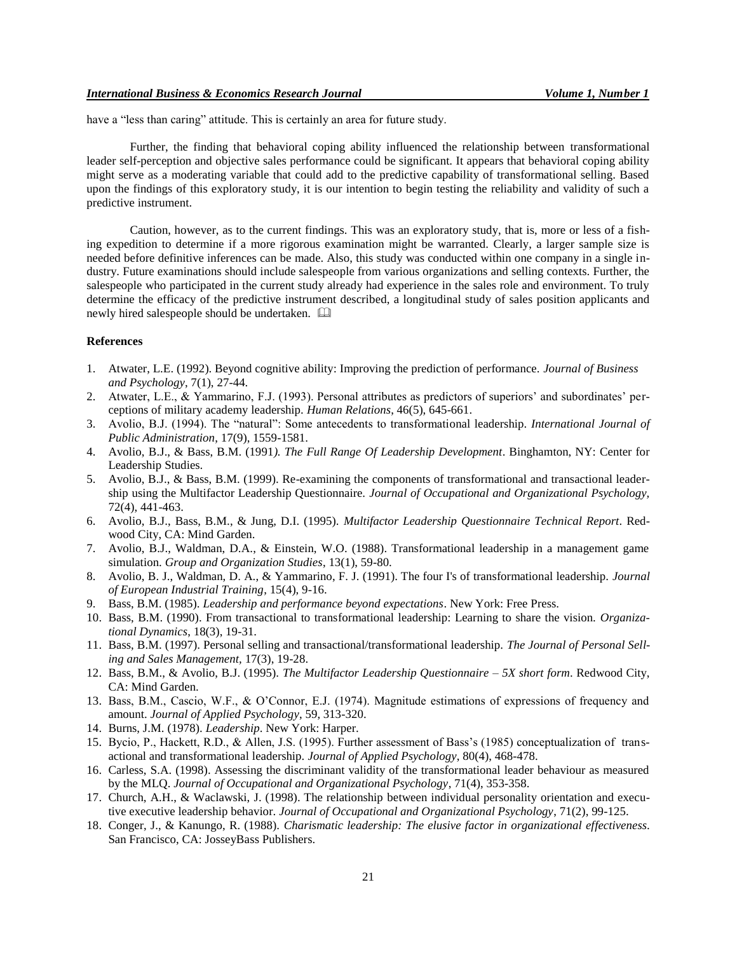have a "less than caring" attitude. This is certainly an area for future study.

Further, the finding that behavioral coping ability influenced the relationship between transformational leader self-perception and objective sales performance could be significant. It appears that behavioral coping ability might serve as a moderating variable that could add to the predictive capability of transformational selling. Based upon the findings of this exploratory study, it is our intention to begin testing the reliability and validity of such a predictive instrument.

Caution, however, as to the current findings. This was an exploratory study, that is, more or less of a fishing expedition to determine if a more rigorous examination might be warranted. Clearly, a larger sample size is needed before definitive inferences can be made. Also, this study was conducted within one company in a single industry. Future examinations should include salespeople from various organizations and selling contexts. Further, the salespeople who participated in the current study already had experience in the sales role and environment. To truly determine the efficacy of the predictive instrument described, a longitudinal study of sales position applicants and newly hired salespeople should be undertaken.

# **References**

- 1. Atwater, L.E. (1992). Beyond cognitive ability: Improving the prediction of performance. *Journal of Business and Psychology*, 7(1), 27-44.
- 2. Atwater, L.E., & Yammarino, F.J. (1993). Personal attributes as predictors of superiors' and subordinates' perceptions of military academy leadership. *Human Relations*, 46(5), 645-661.
- 3. Avolio, B.J. (1994). The "natural": Some antecedents to transformational leadership. *International Journal of Public Administration*, 17(9), 1559-1581.
- 4. Avolio, B.J., & Bass, B.M. (1991*). The Full Range Of Leadership Development*. Binghamton, NY: Center for Leadership Studies.
- 5. Avolio, B.J., & Bass, B.M. (1999). Re-examining the components of transformational and transactional leadership using the Multifactor Leadership Questionnaire. *Journal of Occupational and Organizational Psychology,*  72(4), 441-463.
- 6. Avolio, B.J., Bass, B.M., & Jung, D.I. (1995). *Multifactor Leadership Questionnaire Technical Report*. Redwood City, CA: Mind Garden.
- 7. Avolio, B.J., Waldman, D.A., & Einstein, W.O. (1988). Transformational leadership in a management game simulation. *Group and Organization Studies*, 13(1), 59-80.
- 8. Avolio, B. J., Waldman, D. A., & Yammarino, F. J. (1991). The four I's of transformational leadership. *Journal of European Industrial Training*, 15(4), 9-16.
- 9. Bass, B.M. (1985). *Leadership and performance beyond expectations*. New York: Free Press.
- 10. Bass, B.M. (1990). From transactional to transformational leadership: Learning to share the vision. *Organizational Dynamics*, 18(3), 19-31.
- 11. Bass, B.M. (1997). Personal selling and transactional/transformational leadership. *The Journal of Personal Selling and Sales Management,* 17(3), 19-28.
- 12. Bass, B.M., & Avolio, B.J. (1995). *The Multifactor Leadership Questionnaire – 5X short form*. Redwood City, CA: Mind Garden.
- 13. Bass, B.M., Cascio, W.F., & O'Connor, E.J. (1974). Magnitude estimations of expressions of frequency and amount. *Journal of Applied Psychology*, 59, 313-320.
- 14. Burns, J.M. (1978). *Leadership*. New York: Harper.
- 15. Bycio, P., Hackett, R.D., & Allen, J.S. (1995). Further assessment of Bass's (1985) conceptualization of transactional and transformational leadership. *Journal of Applied Psychology*, 80(4), 468-478.
- 16. Carless, S.A. (1998). Assessing the discriminant validity of the transformational leader behaviour as measured by the MLQ. *Journal of Occupational and Organizational Psychology*, 71(4), 353-358.
- 17. Church, A.H., & Waclawski, J. (1998). The relationship between individual personality orientation and executive executive leadership behavior. *Journal of Occupational and Organizational Psychology*, 71(2), 99-125.
- 18. Conger, J., & Kanungo, R. (1988). *Charismatic leadership: The elusive factor in organizational effectiveness*. San Francisco, CA: JosseyBass Publishers.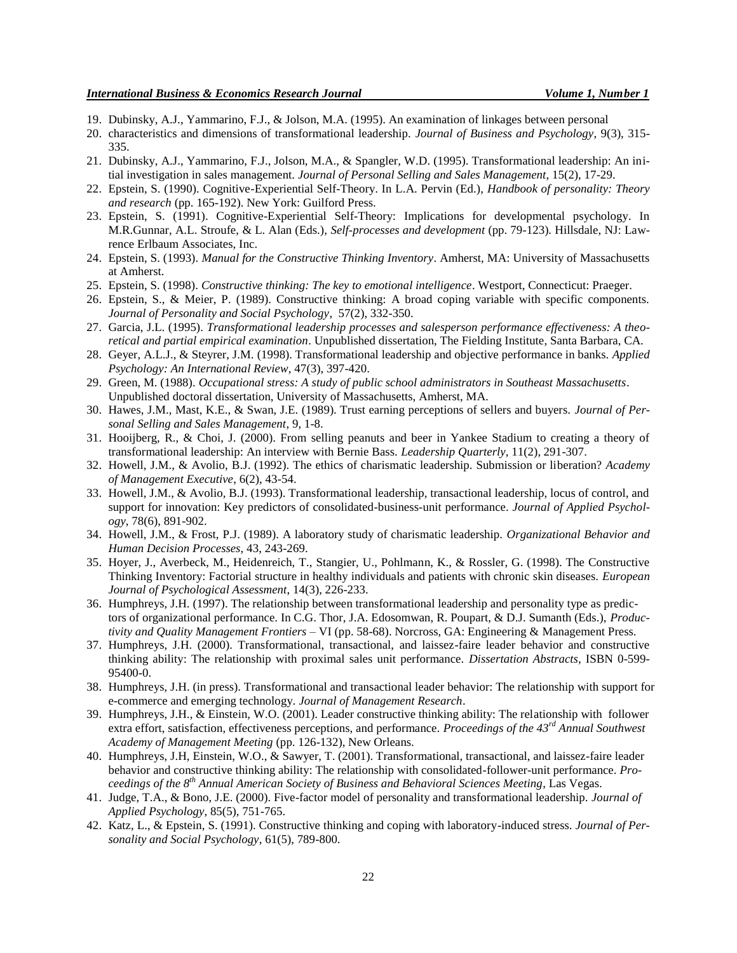- 19. Dubinsky, A.J., Yammarino, F.J., & Jolson, M.A. (1995). An examination of linkages between personal
- 20. characteristics and dimensions of transformational leadership. *Journal of Business and Psychology*, 9(3), 315- 335.
- 21. Dubinsky, A.J., Yammarino, F.J., Jolson, M.A., & Spangler, W.D. (1995). Transformational leadership: An initial investigation in sales management. *Journal of Personal Selling and Sales Management*, 15(2), 17-29.
- 22. Epstein, S. (1990). Cognitive-Experiential Self-Theory. In L.A. Pervin (Ed.), *Handbook of personality: Theory and research* (pp. 165-192). New York: Guilford Press.
- 23. Epstein, S. (1991). Cognitive-Experiential Self-Theory: Implications for developmental psychology. In M.R.Gunnar, A.L. Stroufe, & L. Alan (Eds.), *Self-processes and development* (pp. 79-123). Hillsdale, NJ: Lawrence Erlbaum Associates, Inc.
- 24. Epstein, S. (1993). *Manual for the Constructive Thinking Inventory*. Amherst, MA: University of Massachusetts at Amherst.
- 25. Epstein, S. (1998). *Constructive thinking: The key to emotional intelligence*. Westport, Connecticut: Praeger.
- 26. Epstein, S., & Meier, P. (1989). Constructive thinking: A broad coping variable with specific components. *Journal of Personality and Social Psychology*, 57(2), 332-350.
- 27. Garcia, J.L. (1995). *Transformational leadership processes and salesperson performance effectiveness: A theoretical and partial empirical examination*. Unpublished dissertation, The Fielding Institute, Santa Barbara, CA.
- 28. Geyer, A.L.J., & Steyrer, J.M. (1998). Transformational leadership and objective performance in banks. *Applied Psychology: An International Review*, 47(3), 397-420.
- 29. Green, M. (1988). *Occupational stress: A study of public school administrators in Southeast Massachusetts*. Unpublished doctoral dissertation, University of Massachusetts, Amherst, MA.
- 30. Hawes, J.M., Mast, K.E., & Swan, J.E. (1989). Trust earning perceptions of sellers and buyers. *Journal of Personal Selling and Sales Management*, 9, 1-8.
- 31. Hooijberg, R., & Choi, J. (2000). From selling peanuts and beer in Yankee Stadium to creating a theory of transformational leadership: An interview with Bernie Bass. *Leadership Quarterly*, 11(2), 291-307.
- 32. Howell, J.M., & Avolio, B.J. (1992). The ethics of charismatic leadership. Submission or liberation? *Academy of Management Executive*, 6(2), 43-54.
- 33. Howell, J.M., & Avolio, B.J. (1993). Transformational leadership, transactional leadership, locus of control, and support for innovation: Key predictors of consolidated-business-unit performance. *Journal of Applied Psychology*, 78(6), 891-902.
- 34. Howell, J.M., & Frost, P.J. (1989). A laboratory study of charismatic leadership. *Organizational Behavior and Human Decision Processes*, 43, 243-269.
- 35. Hoyer, J., Averbeck, M., Heidenreich, T., Stangier, U., Pohlmann, K., & Rossler, G. (1998). The Constructive Thinking Inventory: Factorial structure in healthy individuals and patients with chronic skin diseases. *European Journal of Psychological Assessment*, 14(3), 226-233.
- 36. Humphreys, J.H. (1997). The relationship between transformational leadership and personality type as predictors of organizational performance. In C.G. Thor, J.A. Edosomwan, R. Poupart, & D.J. Sumanth (Eds.), *Productivity and Quality Management Frontiers* – VI (pp. 58-68). Norcross, GA: Engineering & Management Press.
- 37. Humphreys, J.H. (2000). Transformational, transactional, and laissez-faire leader behavior and constructive thinking ability: The relationship with proximal sales unit performance. *Dissertation Abstracts*, ISBN 0-599- 95400-0.
- 38. Humphreys, J.H. (in press). Transformational and transactional leader behavior: The relationship with support for e-commerce and emerging technology*. Journal of Management Research*.
- 39. Humphreys, J.H., & Einstein, W.O. (2001). Leader constructive thinking ability: The relationship with follower extra effort, satisfaction, effectiveness perceptions, and performance. *Proceedings of the 43rd Annual Southwest Academy of Management Meeting* (pp. 126-132), New Orleans.
- 40. Humphreys, J.H, Einstein, W.O., & Sawyer, T. (2001). Transformational, transactional, and laissez-faire leader behavior and constructive thinking ability: The relationship with consolidated-follower-unit performance. *Proceedings of the 8th Annual American Society of Business and Behavioral Sciences Meeting*, Las Vegas.
- 41. Judge, T.A., & Bono, J.E. (2000). Five-factor model of personality and transformational leadership. *Journal of Applied Psychology*, 85(5), 751-765.
- 42. Katz, L., & Epstein, S. (1991). Constructive thinking and coping with laboratory-induced stress. *Journal of Personality and Social Psychology*, 61(5), 789-800.